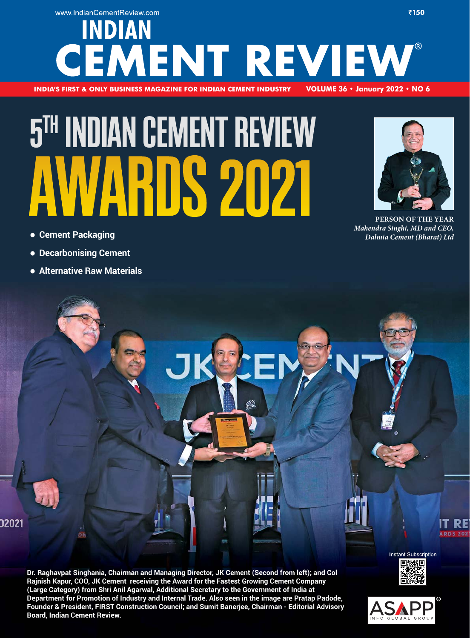### www.IndianCementReview.com ₹150 **INDIAN** EMENT REVIEW **INDIA'S FIRST & ONLY BUSINESS MAGAZINE FOR INDIAN CEMENT INDUSTRY -**OLUME 36 • January 2022 • NO 6

# **5 TH INDIAN CEMENT REVIEW**

- **Cement Packaging**

02021

- **Decarbonising Cement**
- - **Alternative Raw Materials**



**PERSON OF THE YEAR** *Mahendra Singhi, MD and CEO, Dalmia Cement (Bharat) Ltd*

**Dr. Raghavpat Singhania, Chairman and Managing Director, JK Cement (Second from left); and Col Rajnish Kapur, COO, JK Cement receiving the Award for the Fastest Growing Cement Company (Large Category) from Shri Anil Agarwal, Additional Secretary to the Government of India at Department for Promotion of Industry and Internal Trade. Also seen in the image are Pratap Padode, Founder & President, FIRST Construction Council; and Sumit Banerjee, Chairman - Editorial Advisory Board, Indian Cement Review.**



**Instant Subscription** 

**ARDS 207**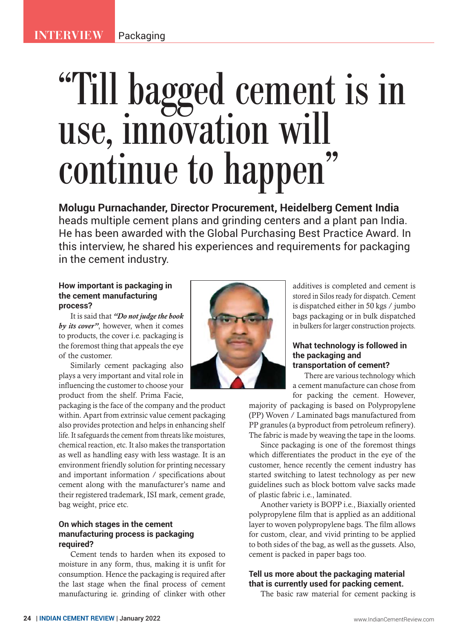## "Till bagged cement is in use, innovation will continue to happen"

**Molugu Purnachander, Director Procurement, Heidelberg Cement India**  heads multiple cement plans and grinding centers and a plant pan India. He has been awarded with the Global Purchasing Best Practice Award. In this interview, he shared his experiences and requirements for packaging in the cement industry.

#### **How important is packaging in the cement manufacturing process?**

It is said that *"Do not judge the book by its cover"*, however, when it comes to products, the cover i.e. packaging is the foremost thing that appeals the eye of the customer.

Similarly cement packaging also plays a very important and vital role in influencing the customer to choose your product from the shelf. Prima Facie,

packaging is the face of the company and the product within. Apart from extrinsic value cement packaging also provides protection and helps in enhancing shelf life. It safeguards the cement from threats like moistures, chemical reaction, etc. It also makes the transportation as well as handling easy with less wastage. It is an environment friendly solution for printing necessary and important information / specifications about cement along with the manufacturer's name and their registered trademark, ISI mark, cement grade, bag weight, price etc.

#### **On which stages in the cement manufacturing process is packaging required?**

Cement tends to harden when its exposed to moisture in any form, thus, making it is unfit for consumption. Hence the packaging is required after the last stage when the final process of cement manufacturing ie. grinding of clinker with other



additives is completed and cement is stored in Silos ready for dispatch. Cement is dispatched either in 50 kgs / jumbo bags packaging or in bulk dispatched in bulkers for larger construction projects.

#### **What technology is followed in the packaging and transportation of cement?**

There are various technology which a cement manufacture can chose from for packing the cement. However,

majority of packaging is based on Polypropylene (PP) Woven / Laminated bags manufactured from PP granules (a byproduct from petroleum refinery). The fabric is made by weaving the tape in the looms.

Since packaging is one of the foremost things which differentiates the product in the eye of the customer, hence recently the cement industry has started switching to latest technology as per new guidelines such as block bottom valve sacks made of plastic fabric i.e., laminated.

Another variety is BOPP i.e., Biaxially oriented polypropylene film that is applied as an additional layer to woven polypropylene bags. The film allows for custom, clear, and vivid printing to be applied to both sides of the bag, as well as the gussets. Also, cement is packed in paper bags too.

#### **Tell us more about the packaging material that is currently used for packing cement.**

The basic raw material for cement packing is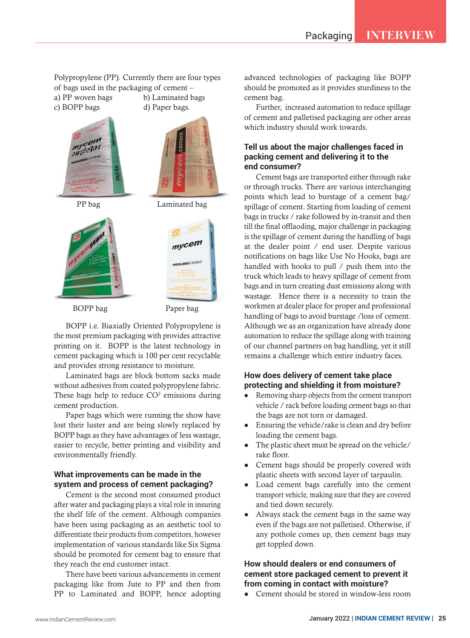Polypropylene (PP). Currently there are four types of bags used in the packaging of cement – a) PP woven bags b) Laminated bags

c) BOPP bags d) Paper bags.





PP bag Laminated bag

mycem

*<u>ACCEMEN</u>* 



BOPP bag Paper bag

BOPP i.e. Biaxially Oriented Polypropylene is the most premium packaging with provides attractive printing on it. BOPP is the latest technology in cement packaging which is 100 per cent recyclable and provides strong resistance to moisture.

Laminated bags are block bottom sacks made without adhesives from coated polypropylene fabric. These bags help to reduce  $CO<sup>2</sup>$  emissions during cement production.

Paper bags which were running the show have lost their luster and are being slowly replaced by BOPP bags as they have advantages of less wastage, easier to recycle, better printing and visibility and environmentally friendly.

#### **What improvements can be made in the system and process of cement packaging?**

Cement is the second most consumed product after water and packaging plays a vital role in insuring the shelf life of the cement. Although companies have been using packaging as an aesthetic tool to differentiate their products from competitors, however implementation of various standards like Six Sigma should be promoted for cement bag to ensure that they reach the end customer intact.

There have been various advancements in cement packaging like from Jute to PP and then from PP to Laminated and BOPP, hence adopting

advanced technologies of packaging like BOPP should be promoted as it provides sturdiness to the cement bag.

Further, increased automation to reduce spillage of cement and palletised packaging are other areas which industry should work towards.

#### **Tell us about the major challenges faced in packing cement and delivering it to the end consumer?**

Cement bags are transported either through rake or through trucks. There are various interchanging points which lead to burstage of a cement bag/ spillage of cement. Starting from loading of cement bags in trucks / rake followed by in-transit and then till the final offlaoding, major challenge in packaging is the spillage of cement during the handling of bags at the dealer point / end user. Despite various notifications on bags like Use No Hooks, bags are handled with hooks to pull / push them into the truck which leads to heavy spillage of cement from bags and in turn creating dust emissions along with wastage. Hence there is a necessity to train the workmen at dealer place for proper and professional handling of bags to avoid burstage /loss of cement. Although we as an organization have already done automation to reduce the spillage along with training of our channel partners on bag handling, yet it still remains a challenge which entire industry faces.

#### **How does delivery of cement take place protecting and shielding it from moisture?**

- $\bullet$  Removing sharp objects from the cement transport vehicle / rack before loading cement bags so that the bags are not torn or damaged.
- $\bullet$  Ensuring the vehicle/rake is clean and dry before loading the cement bags.
- The plastic sheet must be spread on the vehicle/ rake floor.
- Cement bags should be properly covered with plastic sheets with second layer of tarpaulin.
- $\bullet$  Load cement bags carefully into the cement transport vehicle, making sure that they are covered and tied down securely.
- Always stack the cement bags in the same way even if the bags are not palletised. Otherwise, if any pothole comes up, then cement bags may get toppled down.

#### **How should dealers or end consumers of cement store packaged cement to prevent it from coming in contact with moisture?**

 $\bullet$ Cement should be stored in window-less room